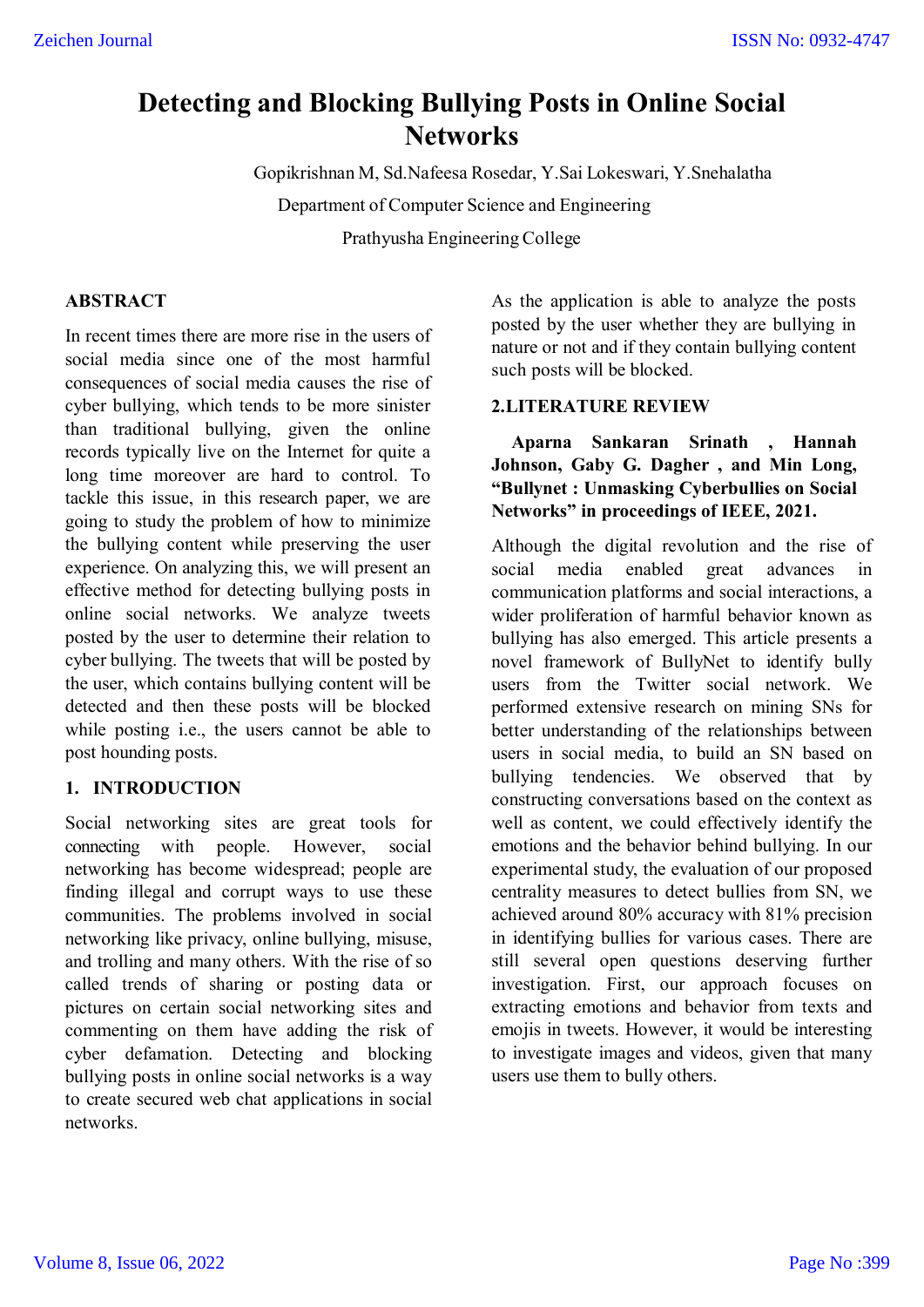# **Detecting and Blocking Bullying Posts in Online Social Networks**

Gopikrishnan M, Sd.Nafeesa Rosedar, Y.Sai Lokeswari, Y.Snehalatha

Department of Computer Science and Engineering

Prathyusha Engineering College

# **ABSTRACT**

In recent times there are more rise in the users of social media since one of the most harmful consequences of social media causes the rise of cyber bullying, which tends to be more sinister than traditional bullying, given the online records typically live on the Internet for quite a long time moreover are hard to control. To tackle this issue, in this research paper, we are going to study the problem of how to minimize the bullying content while preserving the user experience. On analyzing this, we will present an effective method for detecting bullying posts in online social networks. We analyze tweets posted by the user to determine their relation to cyber bullying. The tweets that will be posted by the user, which contains bullying content will be detected and then these posts will be blocked while posting i.e., the users cannot be able to post hounding posts.

# **1. INTRODUCTION**

Social networking sites are great tools for connecting with people. However, social networking has become widespread; people are finding illegal and corrupt ways to use these communities. The problems involved in social networking like privacy, online bullying, misuse, and trolling and many others. With the rise of so called trends of sharing or posting data or pictures on certain social networking sites and commenting on them have adding the risk of cyber defamation. Detecting and blocking bullying posts in online social networks is a way to create secured web chat applications in social networks.

posted by the user whether they are bullying in<br>nature cannot and if they contain bullying contant As the application is able to analyze the posts nature or not and if they contain bullying content such posts will be blocked.

# **2.LITERATURE REVIEW**

**Aparna Sankaran Srinath , Hannah Johnson, Gaby G. Dagher , and Min Long, "Bullynet : Unmasking Cyberbullies on Social Networks" in proceedings of IEEE, 2021.**

Although the digital revolution and the rise of social media enabled great advances in communication platforms and social interactions, a wider proliferation of harmful behavior known as bullying has also emerged. This article presents a novel framework of BullyNet to identify bully users from the Twitter social network. We performed extensive research on mining SNs for better understanding of the relationships between users in social media, to build an SN based on bullying tendencies. We observed that by constructing conversations based on the context as well as content, we could effectively identify the emotions and the behavior behind bullying. In our experimental study, the evaluation of our proposed centrality measures to detect bullies from SN, we achieved around 80% accuracy with 81% precision in identifying bullies for various cases. There are still several open questions deserving further investigation. First, our approach focuses on extracting emotions and behavior from texts and emojis in tweets. However, it would be interesting to investigate images and videos, given that many users use them to bully others.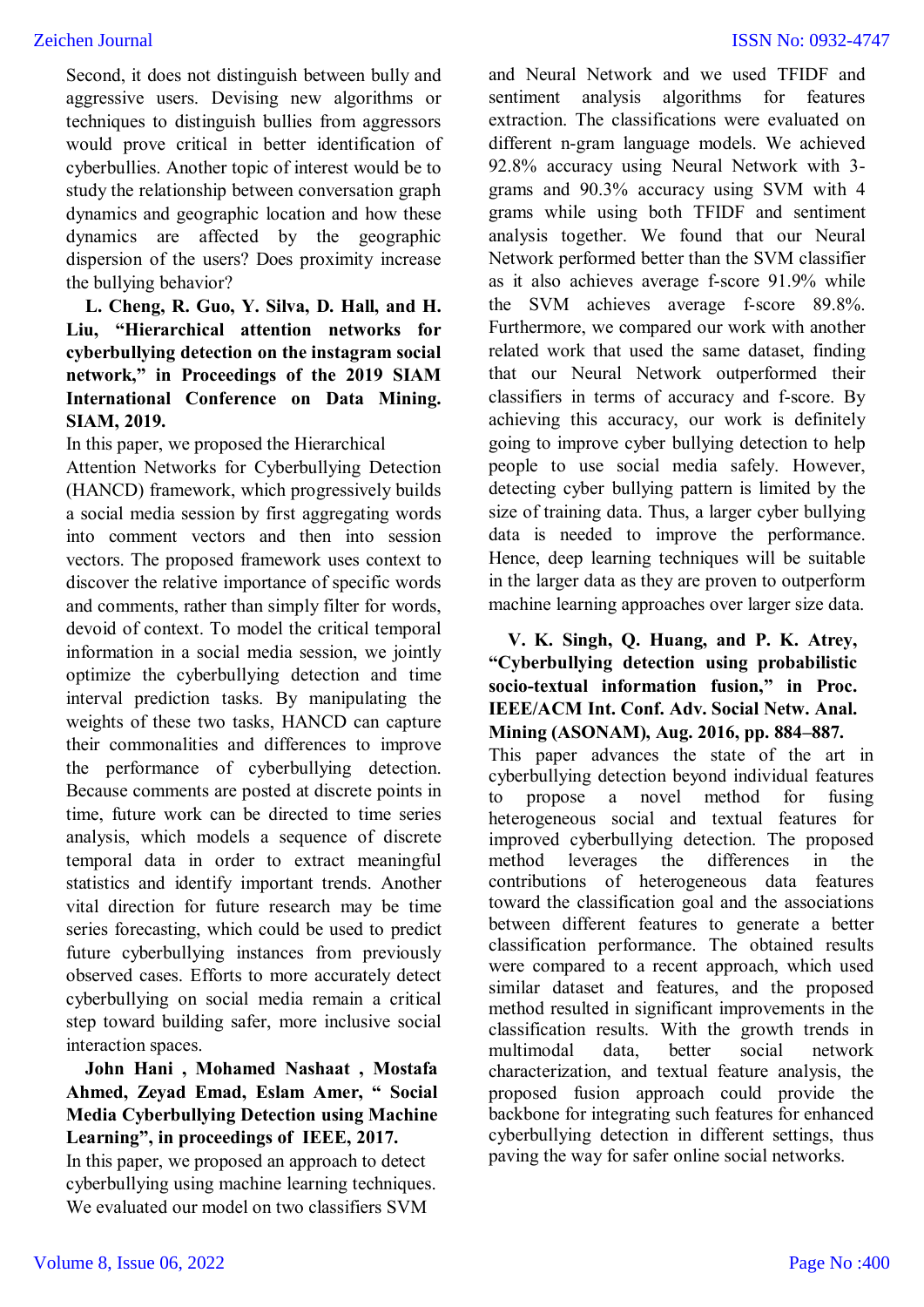Second, it does not distinguish between bully and aggressive users. Devising new algorithms or techniques to distinguish bullies from aggressors would prove critical in better identification of cyberbullies. Another topic of interest would be to study the relationship between conversation graph dynamics and geographic location and how these dynamics are affected by the geographic dispersion of the users? Does proximity increase the bullying behavior?

# **L. Cheng, R. Guo, Y. Silva, D. Hall, and H. Liu, "Hierarchical attention networks for cyberbullying detection on the instagram social network," in Proceedings of the 2019 SIAM International Conference on Data Mining. SIAM, 2019.**

In this paper, we proposed the Hierarchical

Attention Networks for Cyberbullying Detection (HANCD) framework, which progressively builds a social media session by first aggregating words into comment vectors and then into session vectors. The proposed framework uses context to discover the relative importance of specific words and comments, rather than simply filter for words, devoid of context. To model the critical temporal information in a social media session, we jointly optimize the cyberbullying detection and time interval prediction tasks. By manipulating the weights of these two tasks, HANCD can capture their commonalities and differences to improve the performance of cyberbullying detection. Because comments are posted at discrete points in time, future work can be directed to time series analysis, which models a sequence of discrete temporal data in order to extract meaningful statistics and identify important trends. Another vital direction for future research may be time series forecasting, which could be used to predict future cyberbullying instances from previously observed cases. Efforts to more accurately detect cyberbullying on social media remain a critical step toward building safer, more inclusive social interaction spaces.

# **John Hani , Mohamed Nashaat , Mostafa Ahmed, Zeyad Emad, Eslam Amer, " Social Media Cyberbullying Detection using Machine Learning", in proceedings of IEEE, 2017.**

In this paper, we proposed an approach to detect cyberbullying using machine learning techniques. We evaluated our model on two classifiers SVM

and Neural Network and we used TFIDF and sentiment analysis algorithms for features extraction. The classifications were evaluated on different n-gram language models. We achieved 92.8% accuracy using Neural Network with 3 grams and 90.3% accuracy using SVM with 4 grams while using both TFIDF and sentiment analysis together. We found that our Neural Network performed better than the SVM classifier as it also achieves average f-score 91.9% while the SVM achieves average f-score 89.8%. Furthermore, we compared our work with another related work that used the same dataset, finding that our Neural Network outperformed their classifiers in terms of accuracy and f-score. By achieving this accuracy, our work is definitely going to improve cyber bullying detection to help people to use social media safely. However, detecting cyber bullying pattern is limited by the size of training data. Thus, a larger cyber bullying data is needed to improve the performance. Hence, deep learning techniques will be suitable in the larger data as they are proven to outperform machine learning approaches over larger size data.

**V. K. Singh, Q. Huang, and P. K. Atrey, "Cyberbullying detection using probabilistic socio-textual information fusion," in Proc. IEEE/ACM Int. Conf. Adv. Social Netw. Anal. Mining (ASONAM), Aug. 2016, pp. 884–887.**

This paper advances the state of the art in cyberbullying detection beyond individual features to propose a novel method for fusing heterogeneous social and textual features for improved cyberbullying detection. The proposed method leverages the differences in the contributions of heterogeneous data features toward the classification goal and the associations between different features to generate a better classification performance. The obtained results were compared to a recent approach, which used similar dataset and features, and the proposed method resulted in significant improvements in the classification results. With the growth trends in multimodal data, better social network characterization, and textual feature analysis, the proposed fusion approach could provide the backbone for integrating such features for enhanced cyberbullying detection in different settings, thus paving the way for safer online social networks.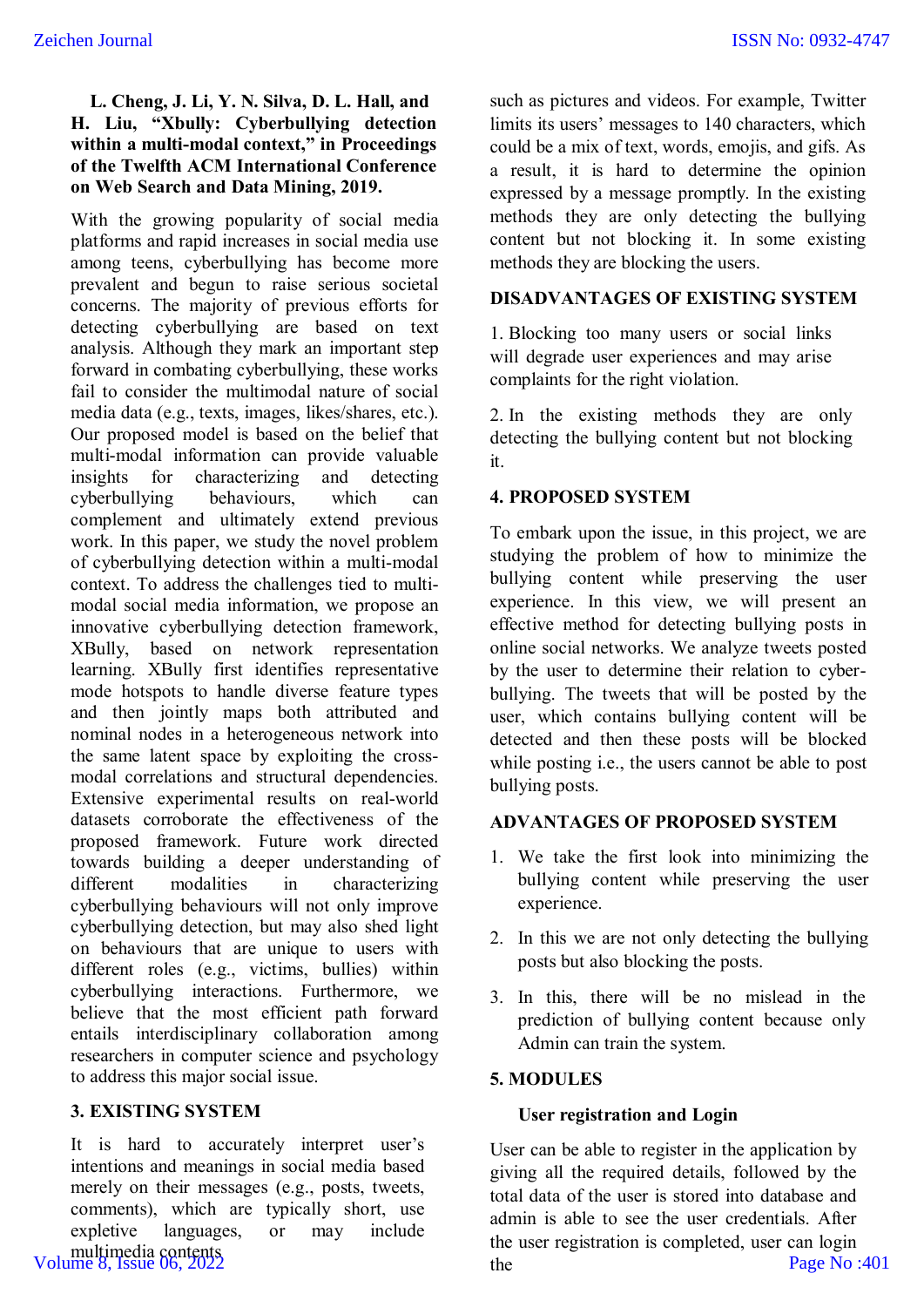# **L. Cheng, J. Li, Y. N. Silva, D. L. Hall, and H. Liu, "Xbully: Cyberbullying detection within a multi-modal context," in Proceedings of the Twelfth ACM International Conference on Web Search and Data Mining, 2019.**

With the growing popularity of social media platforms and rapid increases in social media use among teens, cyberbullying has become more prevalent and begun to raise serious societal concerns. The majority of previous efforts for detecting cyberbullying are based on text analysis. Although they mark an important step forward in combating cyberbullying, these works fail to consider the multimodal nature of social media data (e.g., texts, images, likes/shares, etc.). Our proposed model is based on the belief that multi-modal information can provide valuable insights for characterizing and detecting cyberbullying behaviours, which can complement and ultimately extend previous work. In this paper, we study the novel problem of cyberbullying detection within a multi-modal context. To address the challenges tied to multimodal social media information, we propose an innovative cyberbullying detection framework, XBully, based on network representation learning. XBully first identifies representative mode hotspots to handle diverse feature types and then jointly maps both attributed and nominal nodes in a heterogeneous network into the same latent space by exploiting the crossmodal correlations and structural dependencies. Extensive experimental results on real-world datasets corroborate the effectiveness of the proposed framework. Future work directed towards building a deeper understanding of different modalities in characterizing cyberbullying behaviours will not only improve cyberbullying detection, but may also shed light on behaviours that are unique to users with different roles (e.g., victims, bullies) within cyberbullying interactions. Furthermore, we believe that the most efficient path forward entails interdisciplinary collaboration among researchers in computer science and psychology to address this major social issue.

# **3. EXISTING SYSTEM**

It is hard to accurately interpret user's intentions and meanings in social media based merely on their messages (e.g., posts, tweets, comments), which are typically short, use expletive languages, or may include multimedia contents Volume 8, Issue 06, 2022

such as pictures and videos. For example, Twitter limits its users' messages to 140 characters, which could be a mix of text, words, emojis, and gifs. As a result, it is hard to determine the opinion expressed by a message promptly. In the existing methods they are only detecting the bullying content but not blocking it. In some existing methods they are blocking the users.

# **DISADVANTAGES OF EXISTING SYSTEM**

1. Blocking too many users or social links will degrade user experiences and may arise complaints for the right violation.

2. In the existing methods they are only detecting the bullying content but not blocking it.

# **4. PROPOSED SYSTEM**

To embark upon the issue, in this project, we are studying the problem of how to minimize the bullying content while preserving the user experience. In this view, we will present an effective method for detecting bullying posts in online social networks. We analyze tweets posted by the user to determine their relation to cyberbullying. The tweets that will be posted by the user, which contains bullying content will be detected and then these posts will be blocked while posting i.e., the users cannot be able to post bullying posts.

# **ADVANTAGES OF PROPOSED SYSTEM**

- 1. We take the first look into minimizing the bullying content while preserving the user experience.
- 2. In this we are not only detecting the bullying posts but also blocking the posts.
- 3. In this, there will be no mislead in the prediction of bullying content because only Admin can train the system.

# **5. MODULES**

# **User registration and Login**

User can be able to register in the application by giving all the required details, followed by the total data of the user is stored into database and admin is able to see the user credentials. After the user registration is completed, user can login the Page No :401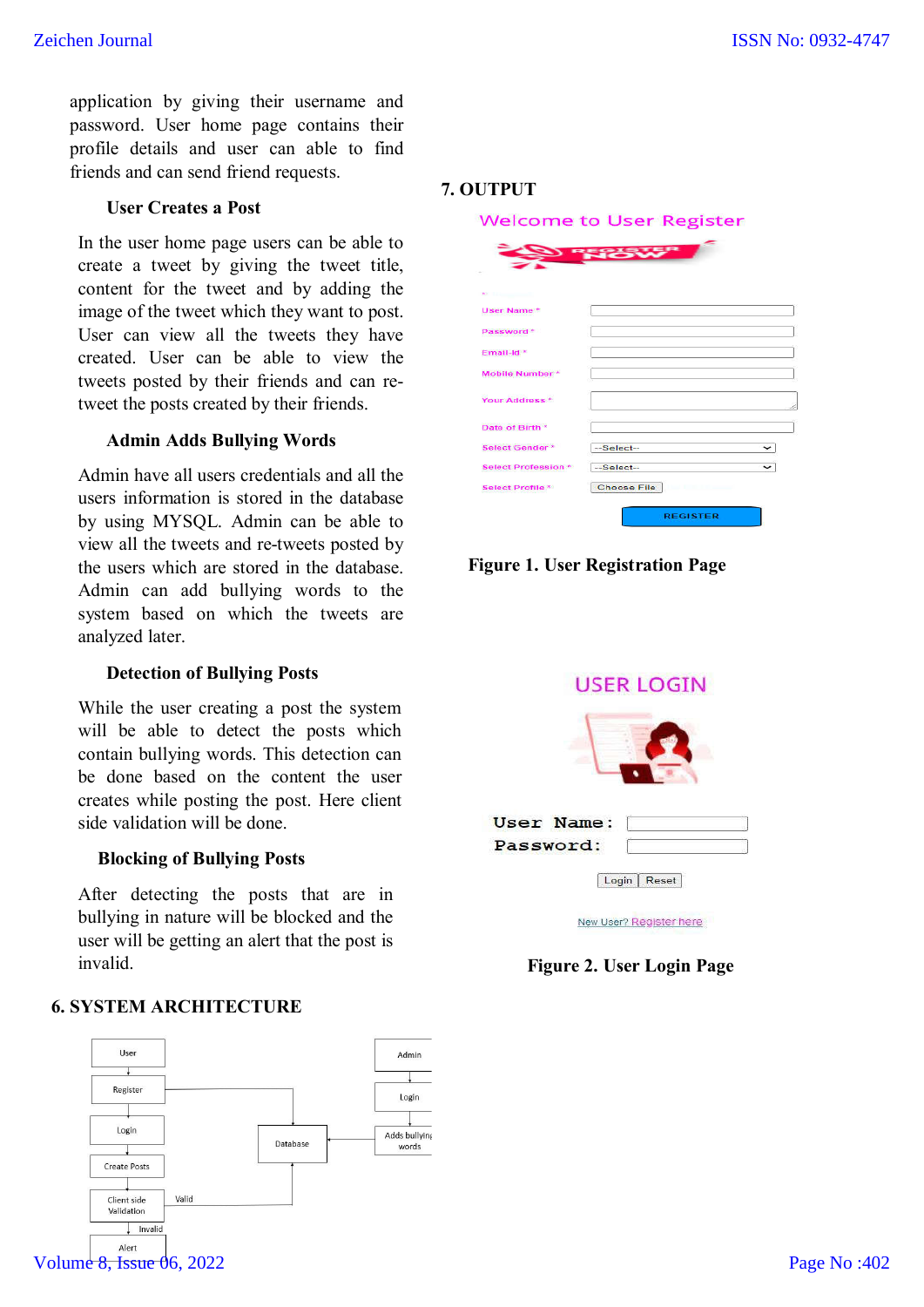application by giving their username and password. User home page contains their profile details and user can able to find friends and can send friend requests.

#### **User Creates a Post**

In the user home page users can be able to create a tweet by giving the tweet title, content for the tweet and by adding the image of the tweet which they want to post. User can view all the tweets they have created. User can be able to view the tweets posted by their friends and can retweet the posts created by their friends.

# **Admin Adds Bullying Words**

Admin have all users credentials and all the users information is stored in the database by using MYSQL. Admin can be able to view all the tweets and re-tweets posted by the users which are stored in the database. Admin can add bullying words to the system based on which the tweets are analyzed later.

#### **Detection of Bullying Posts**

While the user creating a post the system will be able to detect the posts which contain bullying words. This detection can be done based on the content the user creates while posting the post. Here client side validation will be done.

#### **Blocking of Bullying Posts**

After detecting the posts that are in bullying in nature will be blocked and the user will be getting an alert that the post is invalid.

# **6. SYSTEM ARCHITECTURE**



#### **7. OUTPUT**

**Welcome to User Register** 

| <b>BE THE REPORT OF A</b> |                           |
|---------------------------|---------------------------|
| User Name*                |                           |
| Password*                 |                           |
| Email-Id*                 |                           |
| Mobile Number*            |                           |
| Your Address *            |                           |
| Date of Birth "           |                           |
| Select Gender*            | --Select--<br>$\check{ }$ |
| <b>Select Profession*</b> | $-Select-$<br>$\check{ }$ |
| Select Profile            | <b>Choose File</b>        |
|                           | <b>REGISTER</b>           |

**Figure 1. User Registration Page**



New User? Register here

# **Figure 2. User Login Page**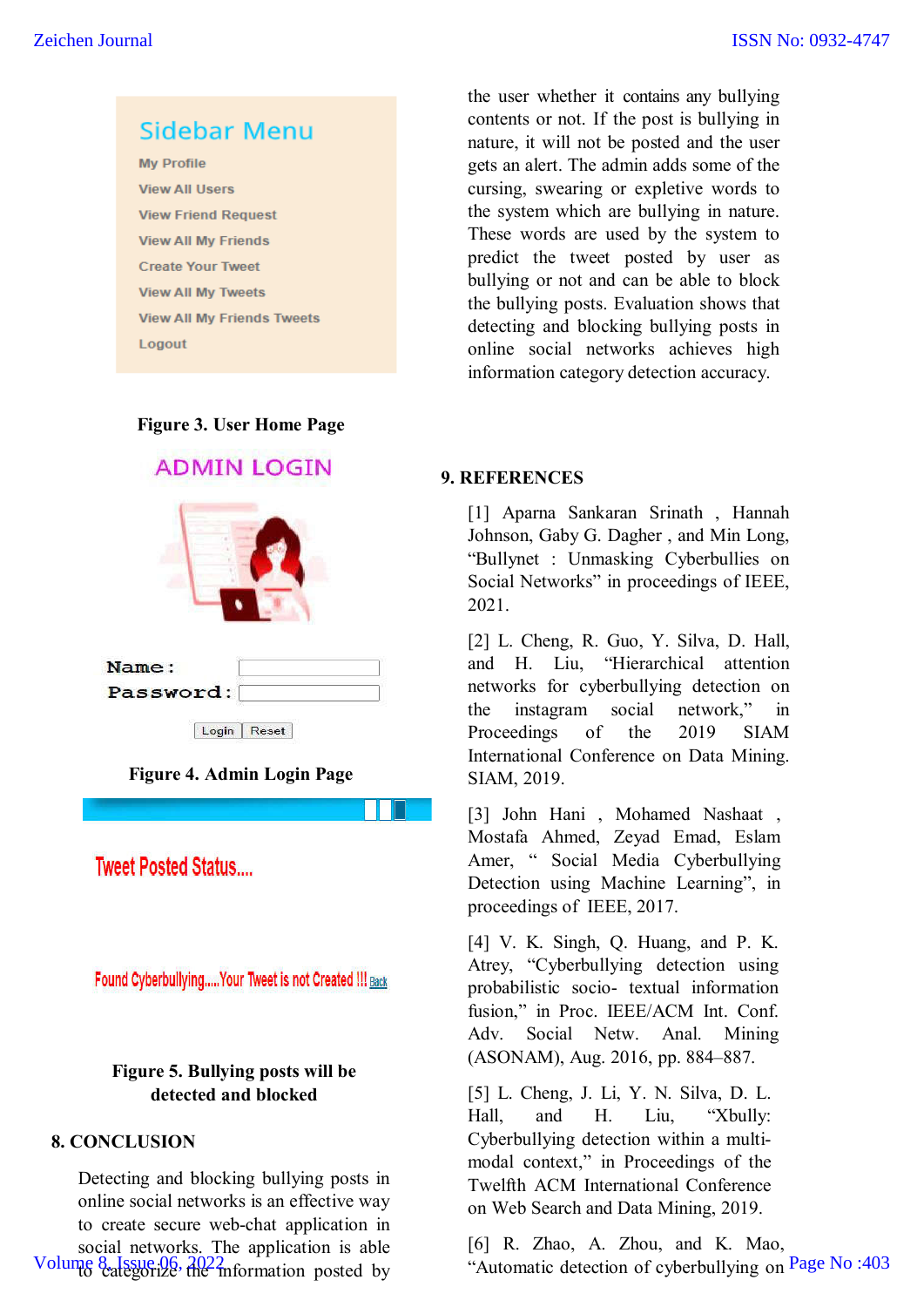

#### **Figure 3. User Home Page**



# **Figure 4. Admin Login Page**

**Tweet Posted Status....** 

Found Cyberbullying..... Your Tweet is not Created !!! Back

# **Figure 5. Bullying posts will be detected and blocked**

# **8. CONCLUSION**

Detecting and blocking bullying posts in online social networks is an effective way to create secure web-chat application in social networks. The application is able Volume 8 Issue 06, 2022 mformation posted by

the user whether it contains any bullying contents or not. If the post is bullying in nature, it will not be posted and the user gets an alert. The admin adds some of the cursing, swearing or expletive words to the system which are bullying in nature. These words are used by the system to predict the tweet posted by user as bullying or not and can be able to block the bullying posts. Evaluation shows that detecting and blocking bullying posts in online social networks achieves high information category detection accuracy.

# **9. REFERENCES**

[1] Aparna Sankaran Srinath , Hannah Johnson, Gaby G. Dagher , and Min Long, "Bullynet : Unmasking Cyberbullies on Social Networks" in proceedings of IEEE, 2021.

[2] L. Cheng, R. Guo, Y. Silva, D. Hall, and H. Liu, "Hierarchical attention networks for cyberbullying detection on the instagram social network," in Proceedings of the 2019 SIAM International Conference on Data Mining. SIAM, 2019.

[3] John Hani , Mohamed Nashaat , Mostafa Ahmed, Zeyad Emad, Eslam Amer, " Social Media Cyberbullying Detection using Machine Learning", in proceedings of IEEE, 2017.

[4] V. K. Singh, Q. Huang, and P. K. Atrey, "Cyberbullying detection using probabilistic socio- textual information fusion," in Proc. IEEE/ACM Int. Conf. Adv. Social Netw. Anal. Mining (ASONAM), Aug. 2016, pp. 884–887.

[5] L. Cheng, J. Li, Y. N. Silva, D. L. Hall, and H. Liu, "Xbully: Cyberbullying detection within a multimodal context," in Proceedings of the Twelfth ACM International Conference on Web Search and Data Mining, 2019.

[6] R. Zhao, A. Zhou, and K. Mao, "Automatic detection of cyberbullying on Page No :403